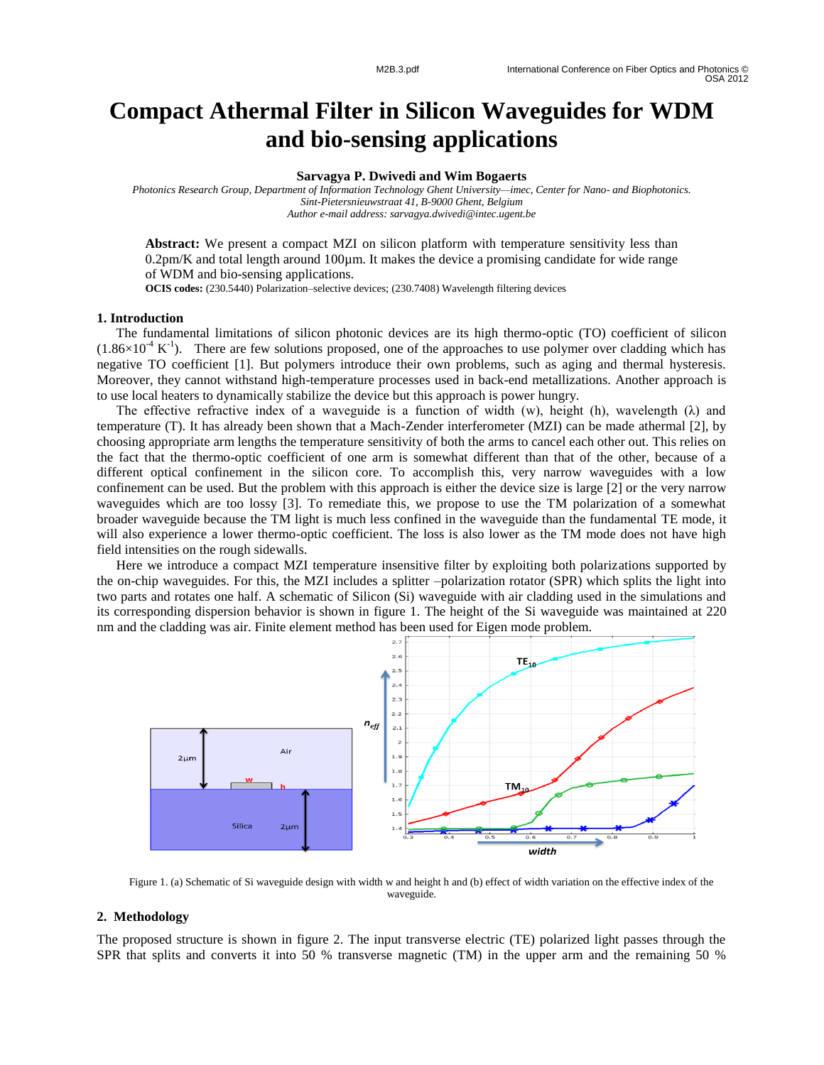# **Compact Athermal Filter in Silicon Waveguides for WDM and bio -sensing applications**

### **Sarvagya P. Dwivedi and Wim Bogaerts**

*Photonics Research Group, Department of Information Technology Ghent University —imec, Center for Nano - and Biophotonics. Sint -Pietersnieuwstraat 41, B -9000 Ghent, Belgium Author e -mail address: sarvagya.dwivedi@intec.ugent.be*

Abstract: We present a compact MZI on silicon platform with temperature sensitivity less than 0.2pm/K and total length around 100 µm. It makes the device a promising candidate for wide range of WDM and bio -sensing applications.

**OCIS codes:** (230.5440) Polarization –selective devices; (230.7408) Wavelength filtering devices

## **1. Introduction**

The fundamental limitations of silicon photonic devices are its high thermo-optic (TO) coefficient of silicon  $(1.86\times10^{-4} \text{ K}^{-1})$ . There are few solutions proposed, one of the approaches to use polymer over cladding which has negative TO coefficient [1]. But polymers introduce their own problems, such as aging and thermal hysteresis. Moreover, they cannot withstand high -temperature processes used in back -end metallizations. Another approach is to use local heaters to dynamically stabilize the device but this approach is power hungry.

The effective refractive index of a waveguide is a function of width (w), height (h), wavelength ( $\lambda$ ) and temperature (T). It has already been shown that a Mach -Zender interferometer (MZI) can be made athermal [2], by choosing appropriate arm lengths the temperature sensitivity of both the arms to cancel each other out. This relies on the fact that the thermo -optic coefficient of one arm is somewhat different than that of the other, because of a different optical confinement in the silicon core. To accomplish this, very narrow waveguides with a low confinement can be used. But the problem with this approach is either the device size is large [2] or the very narrow waveguides which are too lossy [3]. To remediate this, we propose to use the TM polarization of a somewhat broader waveguide because the TM light is much less confined in the waveguide than the fundamental TE mode, it will also experience a lower thermo-optic coefficient. The loss is also lower as the TM mode does not have high field intensities on the rough sidewalls.

Here we introduce a compact MZI temperature insensitive filter by exploiting both polarizations supported by the on -chip waveguides. For this, the MZI includes a splitter –polarization rotator (SPR) which splits the light into two parts and rotates one half. A schematic of Silicon (Si) waveguide with air cladding used in the simulations and its corresponding dispersion behavior is shown in figure 1. The height of the Si waveguide was maintained at 220 nm and the cladding was air. Finite element method has been used for Eigen mode problem.



Figure 1. (a) Schematic of Si waveguide design with width w and height h and (b) effect of width variation on the effective index of the waveguide.

## **2. Methodology**

The proposed structure is shown in figure 2. The input transverse electric (TE) polarized light passes through the SPR that splits and converts it into 50 % transverse magnetic (TM) in the upper arm and the remaining 50 %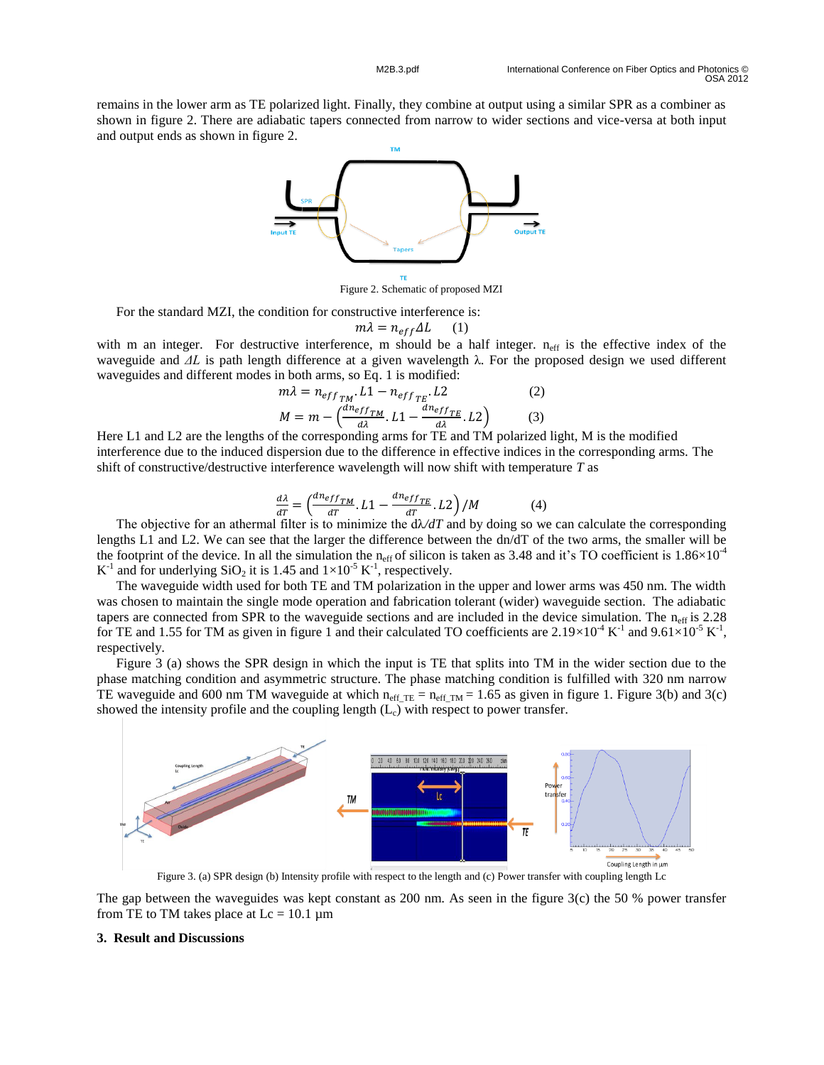remains in the lower arm as TE polarized light. Finally, they combine at output using a similar SPR as a combiner as shown in figure 2. There are adiabatic tapers connected from narrow to wider sections and vice-versa at both input and output ends as shown in figure 2.



Figure 2. Schematic of proposed MZI

For the standard MZI, the condition for constructive interference is:

$$
m\lambda = n_{eff}\Delta L \qquad (1)
$$

with m an integer. For destructive interference, m should be a half integer.  $n_{\text{eff}}$  is the effective index of the waveguide and *ΔL* is path length difference at a given wavelength λ. For the proposed design we used different waveguides and different modes in both arms, so Eq. 1 is modified:

$$
m\lambda = n_{eff_{TM}}.L1 - n_{eff_{TE}}.L2
$$
\n
$$
M = m - \left(\frac{dn_{eff_{TM}}}{d\lambda}.L1 - \frac{dn_{eff_{TE}}}{d\lambda}.L2\right)
$$
\n(3)

Here L1 and L2 are the lengths of the corresponding arms for TE and TM polarized light, M is the modified interference due to the induced dispersion due to the difference in effective indices in the corresponding arms. The shift of constructive/destructive interference wavelength will now shift with temperature *T* as

$$
\frac{d\lambda}{dT} = \left(\frac{dn_{eff}}{dT} \cdot L1 - \frac{dn_{eff}}{dT} \cdot L2\right) / M \tag{4}
$$

The objective for an athermal filter is to minimize the  $d\lambda/dT$  and by doing so we can calculate the corresponding lengths L1 and L2. We can see that the larger the difference between the dn/dT of the two arms, the smaller will be the footprint of the device. In all the simulation the n<sub>eff</sub> of silicon is taken as 3.48 and it's TO coefficient is  $1.86 \times 10^{-4}$  $K^{-1}$  and for underlying SiO<sub>2</sub> it is 1.45 and  $1 \times 10^{-5} K^{-1}$ , respectively.

The waveguide width used for both TE and TM polarization in the upper and lower arms was 450 nm. The width was chosen to maintain the single mode operation and fabrication tolerant (wider) waveguide section. The adiabatic tapers are connected from SPR to the waveguide sections and are included in the device simulation. The  $n_{\text{eff}}$  is 2.28 for TE and 1.55 for TM as given in figure 1 and their calculated TO coefficients are  $2.19 \times 10^{-4}$  K<sup>-1</sup> and  $9.61 \times 10^{-5}$  K<sup>-1</sup>, respectively.

Figure 3 (a) shows the SPR design in which the input is TE that splits into TM in the wider section due to the phase matching condition and asymmetric structure. The phase matching condition is fulfilled with 320 nm narrow TE waveguide and 600 nm TM waveguide at which  $n_{eff\_TE} = n_{eff\_TM} = 1.65$  as given in figure 1. Figure 3(b) and 3(c) showed the intensity profile and the coupling length  $(L<sub>c</sub>)$  with respect to power transfer.



Figure 3. (a) SPR design (b) Intensity profile with respect to the length and (c) Power transfer with coupling length Lc

The gap between the waveguides was kept constant as 200 nm. As seen in the figure 3(c) the 50 % power transfer from TE to TM takes place at  $Lc = 10.1 \mu m$ 

## **3. Result and Discussions**